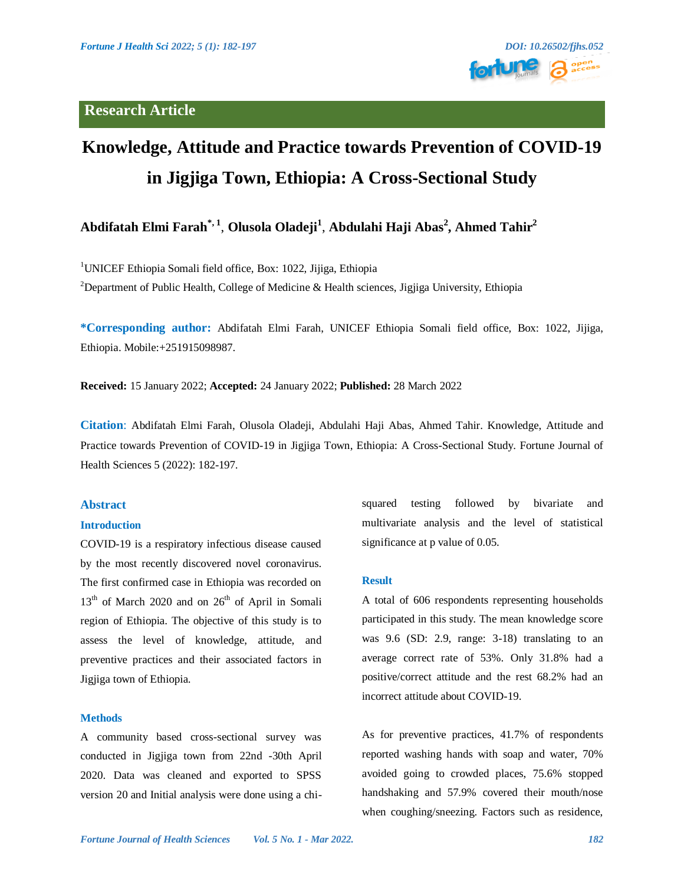



# **Knowledge, Attitude and Practice towards Prevention of COVID-19 in Jigjiga Town, Ethiopia: A Cross-Sectional Study**

## **Abdifatah Elmi Farah\*, 1** , **Olusola Oladeji<sup>1</sup>** , **Abdulahi Haji Abas<sup>2</sup> , Ahmed Tahir<sup>2</sup>**

<sup>1</sup>UNICEF Ethiopia Somali field office, Box: 1022, Jijiga, Ethiopia

<sup>2</sup>Department of Public Health, College of Medicine & Health sciences, Jigjiga University, Ethiopia

**\*Corresponding author:** Abdifatah Elmi Farah, UNICEF Ethiopia Somali field office, Box: 1022, Jijiga, Ethiopia. Mobile:+251915098987.

**Received:** 15 January 2022; **Accepted:** 24 January 2022; **Published:** 28 March 2022

**Citation**: Abdifatah Elmi Farah, Olusola Oladeji, Abdulahi Haji Abas, Ahmed Tahir. Knowledge, Attitude and Practice towards Prevention of COVID-19 in Jigjiga Town, Ethiopia: A Cross-Sectional Study. Fortune Journal of Health Sciences 5 (2022): 182-197.

## **Abstract**

#### **Introduction**

COVID-19 is a respiratory infectious disease caused by the most recently discovered novel coronavirus. The first confirmed case in Ethiopia was recorded on  $13<sup>th</sup>$  of March 2020 and on  $26<sup>th</sup>$  of April in Somali region of Ethiopia. The objective of this study is to assess the level of knowledge, attitude, and preventive practices and their associated factors in Jigjiga town of Ethiopia.

## **Methods**

A community based cross-sectional survey was conducted in Jigjiga town from 22nd -30th April 2020. Data was cleaned and exported to SPSS version 20 and Initial analysis were done using a chisquared testing followed by bivariate and multivariate analysis and the level of statistical significance at p value of 0.05.

#### **Result**

A total of 606 respondents representing households participated in this study. The mean knowledge score was 9.6 (SD: 2.9, range: 3-18) translating to an average correct rate of 53%. Only 31.8% had a positive/correct attitude and the rest 68.2% had an incorrect attitude about COVID-19.

As for preventive practices, 41.7% of respondents reported washing hands with soap and water, 70% avoided going to crowded places, 75.6% stopped handshaking and 57.9% covered their mouth/nose when coughing/sneezing. Factors such as residence,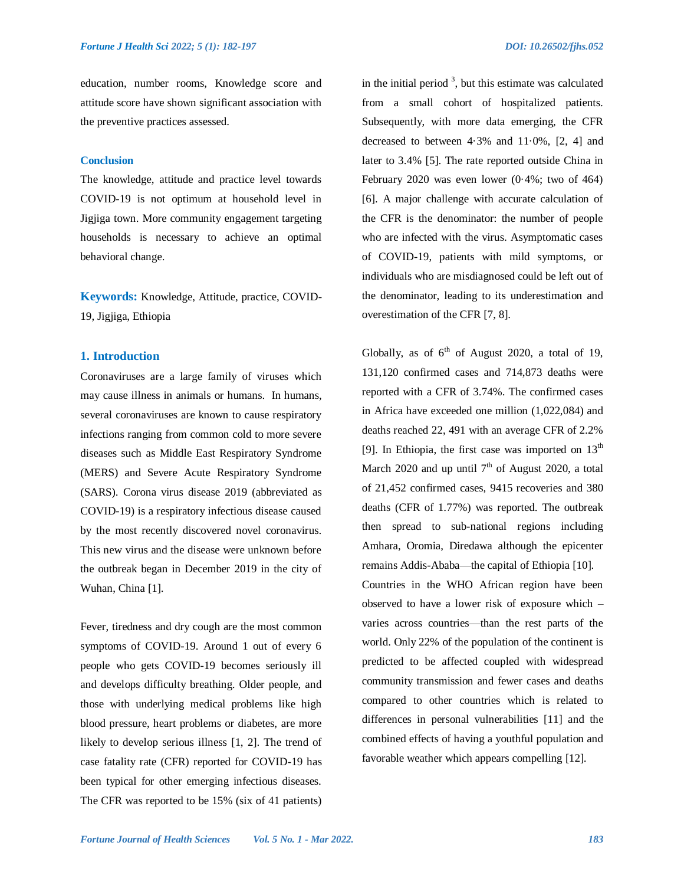education, number rooms, Knowledge score and attitude score have shown significant association with the preventive practices assessed.

## **Conclusion**

The knowledge, attitude and practice level towards COVID-19 is not optimum at household level in Jigjiga town. More community engagement targeting households is necessary to achieve an optimal behavioral change.

**Keywords:** Knowledge, Attitude, practice, COVID-19, Jigjiga, Ethiopia

## **1. Introduction**

Coronaviruses are a large family of viruses which may cause illness in animals or humans. In humans, several coronaviruses are known to cause respiratory infections ranging from common cold to more severe diseases such as Middle East Respiratory Syndrome (MERS) and Severe Acute Respiratory Syndrome (SARS). Corona virus disease 2019 (abbreviated as COVID-19) is a respiratory infectious disease caused by the most recently discovered novel coronavirus. This new virus and the disease were unknown before the outbreak began in December 2019 in the city of Wuhan, China [1].

Fever, tiredness and dry cough are the most common symptoms of COVID-19. Around 1 out of every 6 people who gets COVID-19 becomes seriously ill and develops difficulty breathing. Older people, and those with underlying medical problems like high blood pressure, heart problems or diabetes, are more likely to develop serious illness [1, 2]. The trend of case fatality rate (CFR) reported for COVID-19 has been typical for other emerging infectious diseases. The CFR was reported to be 15% (six of 41 patients)

in the initial period  $3$ , but this estimate was calculated from a small cohort of hospitalized patients. Subsequently, with more data emerging, the CFR decreased to between  $4.3\%$  and  $11.0\%$ ,  $[2, 4]$  and later to 3.4% [5]. The rate reported outside China in February 2020 was even lower (0·4%; two of 464) [6]. A major challenge with accurate calculation of the CFR is the denominator: the number of people who are infected with the virus. Asymptomatic cases of COVID-19, patients with mild symptoms, or individuals who are misdiagnosed could be left out of the denominator, leading to its underestimation and overestimation of the CFR [7, 8].

Globally, as of  $6<sup>th</sup>$  of August 2020, a total of 19, 131,120 confirmed cases and 714,873 deaths were reported with a CFR of 3.74%. The confirmed cases in Africa have exceeded one million (1,022,084) and deaths reached 22, 491 with an average CFR of 2.2% [9]. In Ethiopia, the first case was imported on  $13<sup>th</sup>$ March 2020 and up until  $7<sup>th</sup>$  of August 2020, a total of 21,452 confirmed cases, 9415 recoveries and 380 deaths (CFR of 1.77%) was reported. The outbreak then spread to sub-national regions including Amhara, Oromia, Diredawa although the epicenter remains Addis-Ababa—the capital of Ethiopia [10].

Countries in the WHO African region have been observed to have a lower risk of exposure which – varies across countries—than the rest parts of the world. Only 22% of the population of the continent is predicted to be affected coupled with widespread community transmission and fewer cases and deaths compared to other countries which is related to differences in personal vulnerabilities [11] and the combined effects of having a youthful population and favorable weather which appears compelling [12].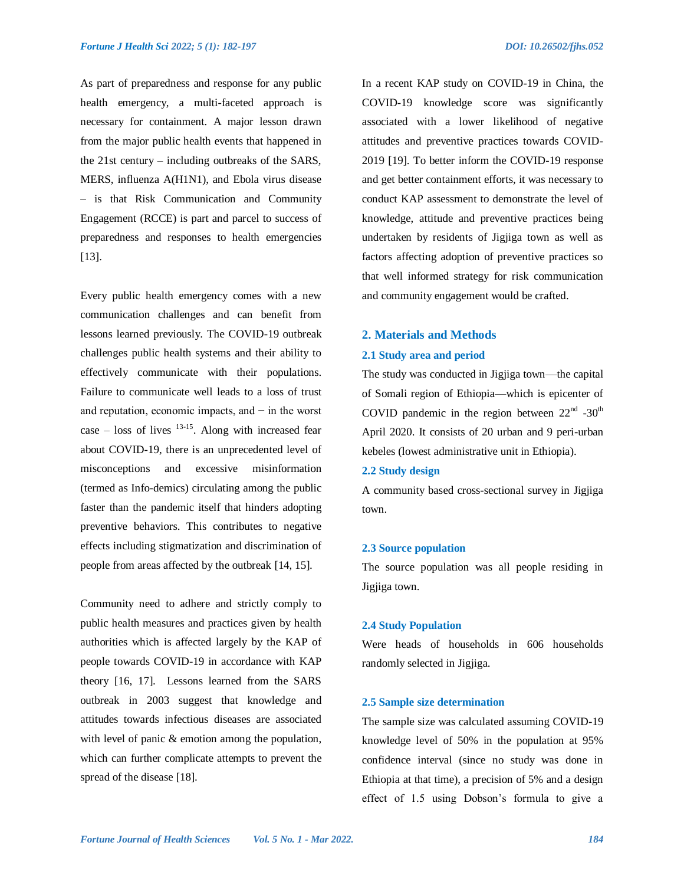As part of preparedness and response for any public health emergency, a multi-faceted approach is necessary for containment. A major lesson drawn from the major public health events that happened in the 21st century – including outbreaks of the SARS, MERS, influenza A(H1N1), and Ebola virus disease – is that Risk Communication and Community Engagement (RCCE) is part and parcel to success of preparedness and responses to health emergencies [13].

Every public health emergency comes with a new communication challenges and can benefit from lessons learned previously. The COVID-19 outbreak challenges public health systems and their ability to effectively communicate with their populations. Failure to communicate well leads to a loss of trust and reputation, economic impacts, and − in the worst case  $-$  loss of lives  $13-15$ . Along with increased fear about COVID-19, there is an unprecedented level of misconceptions and excessive misinformation (termed as Info-demics) circulating among the public faster than the pandemic itself that hinders adopting preventive behaviors. This contributes to negative effects including stigmatization and discrimination of people from areas affected by the outbreak [14, 15].

Community need to adhere and strictly comply to public health measures and practices given by health authorities which is affected largely by the KAP of people towards COVID-19 in accordance with KAP theory [16, 17]. Lessons learned from the SARS outbreak in 2003 suggest that knowledge and attitudes towards infectious diseases are associated with level of panic & emotion among the population, which can further complicate attempts to prevent the spread of the disease [18].

In a recent KAP study on COVID-19 in China, the COVID-19 knowledge score was significantly associated with a lower likelihood of negative attitudes and preventive practices towards COVID-2019 [19]. To better inform the COVID-19 response and get better containment efforts, it was necessary to conduct KAP assessment to demonstrate the level of knowledge, attitude and preventive practices being undertaken by residents of Jigjiga town as well as factors affecting adoption of preventive practices so that well informed strategy for risk communication and community engagement would be crafted.

## **2. Materials and Methods**

### **2.1 Study area and period**

The study was conducted in Jigjiga town—the capital of Somali region of Ethiopia—which is epicenter of COVID pandemic in the region between  $22<sup>nd</sup> -30<sup>th</sup>$ April 2020. It consists of 20 urban and 9 peri-urban kebeles (lowest administrative unit in Ethiopia).

#### **2.2 Study design**

A community based cross-sectional survey in Jigjiga town.

#### **2.3 Source population**

The source population was all people residing in Jigjiga town.

## **2.4 Study Population**

Were heads of households in 606 households randomly selected in Jigjiga.

#### **2.5 Sample size determination**

The sample size was calculated assuming COVID-19 knowledge level of 50% in the population at 95% confidence interval (since no study was done in Ethiopia at that time), a precision of 5% and a design effect of 1.5 using Dobson's formula to give a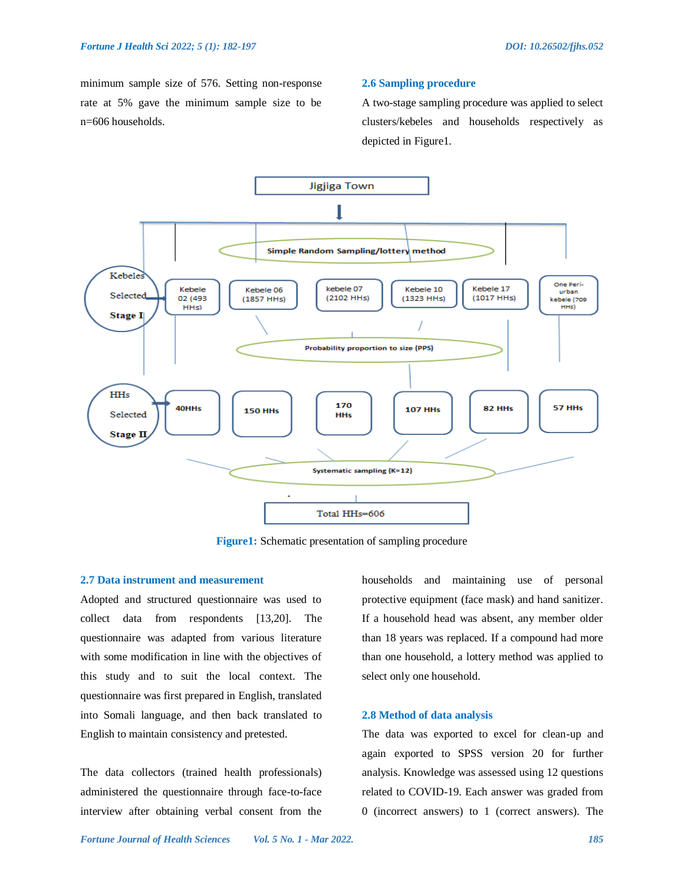minimum sample size of 576. Setting non-response rate at 5% gave the minimum sample size to be n=606 households.

#### **2.6 Sampling procedure**

A two-stage sampling procedure was applied to select clusters/kebeles and households respectively as depicted in Figure1.



**Figure1:** Schematic presentation of sampling procedure

## **2.7 Data instrument and measurement**

Adopted and structured questionnaire was used to collect data from respondents [13,20]. The questionnaire was adapted from various literature with some modification in line with the objectives of this study and to suit the local context. The questionnaire was first prepared in English, translated into Somali language, and then back translated to English to maintain consistency and pretested.

The data collectors (trained health professionals) administered the questionnaire through face-to-face interview after obtaining verbal consent from the households and maintaining use of personal protective equipment (face mask) and hand sanitizer. If a household head was absent, any member older than 18 years was replaced. If a compound had more than one household, a lottery method was applied to select only one household.

#### **2.8 Method of data analysis**

The data was exported to excel for clean-up and again exported to SPSS version 20 for further analysis. Knowledge was assessed using 12 questions related to COVID-19. Each answer was graded from 0 (incorrect answers) to 1 (correct answers). The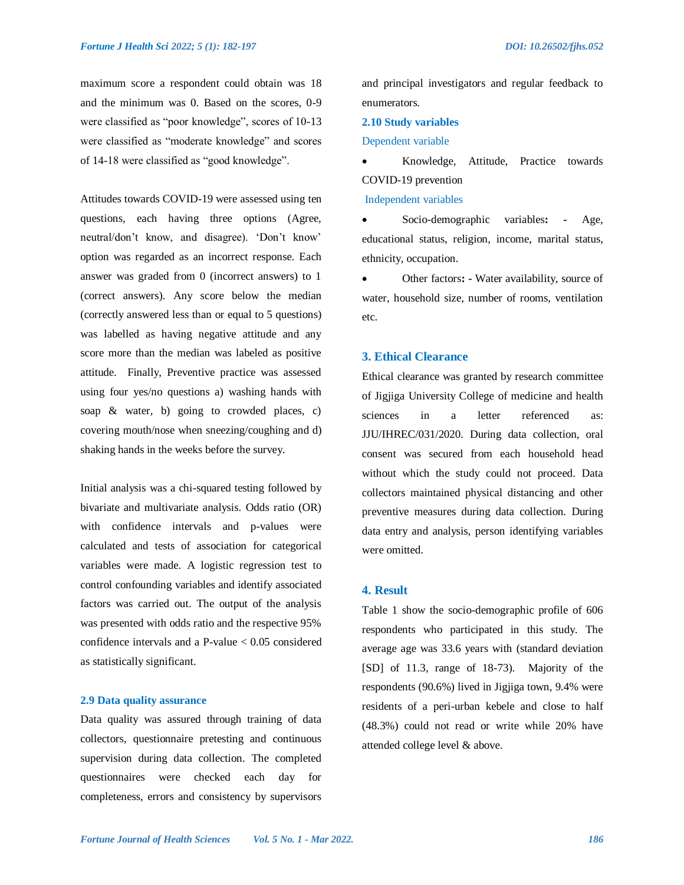maximum score a respondent could obtain was 18 and the minimum was 0. Based on the scores, 0-9 were classified as "poor knowledge", scores of 10-13 were classified as "moderate knowledge" and scores of 14-18 were classified as "good knowledge".

Attitudes towards COVID-19 were assessed using ten questions, each having three options (Agree, neutral/don't know, and disagree). 'Don't know' option was regarded as an incorrect response. Each answer was graded from 0 (incorrect answers) to 1 (correct answers). Any score below the median (correctly answered less than or equal to 5 questions) was labelled as having negative attitude and any score more than the median was labeled as positive attitude. Finally, Preventive practice was assessed using four yes/no questions a) washing hands with soap & water, b) going to crowded places, c) covering mouth/nose when sneezing/coughing and d) shaking hands in the weeks before the survey.

Initial analysis was a chi-squared testing followed by bivariate and multivariate analysis. Odds ratio (OR) with confidence intervals and p-values were calculated and tests of association for categorical variables were made. A logistic regression test to control confounding variables and identify associated factors was carried out. The output of the analysis was presented with odds ratio and the respective 95% confidence intervals and a P-value  $< 0.05$  considered as statistically significant.

## **2.9 Data quality assurance**

Data quality was assured through training of data collectors, questionnaire pretesting and continuous supervision during data collection. The completed questionnaires were checked each day for completeness, errors and consistency by supervisors

and principal investigators and regular feedback to enumerators.

## **2.10 Study variables**

#### Dependent variable

 Knowledge, Attitude, Practice towards COVID-19 prevention

Independent variables

 Socio-demographic variables**: -** Age, educational status, religion, income, marital status, ethnicity, occupation.

 Other factors**: -** Water availability, source of water, household size, number of rooms, ventilation etc.

## **3. Ethical Clearance**

Ethical clearance was granted by research committee of Jigjiga University College of medicine and health sciences in a letter referenced as: JJU/IHREC/031/2020. During data collection, oral consent was secured from each household head without which the study could not proceed. Data collectors maintained physical distancing and other preventive measures during data collection. During data entry and analysis, person identifying variables were omitted.

## **4. Result**

Table 1 show the socio-demographic profile of 606 respondents who participated in this study. The average age was 33.6 years with (standard deviation [SD] of 11.3, range of 18-73). Majority of the respondents (90.6%) lived in Jigjiga town, 9.4% were residents of a peri-urban kebele and close to half (48.3%) could not read or write while 20% have attended college level & above.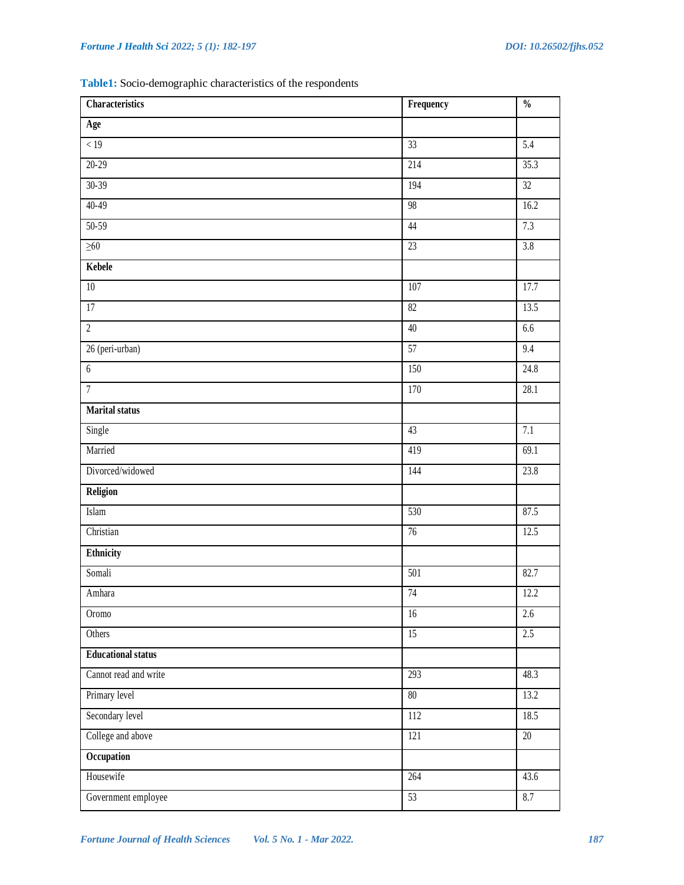**Table1:** Socio-demographic characteristics of the respondents

| <b>Characteristics</b>    | Frequency       | $\frac{0}{0}$    |
|---------------------------|-----------------|------------------|
| Age                       |                 |                  |
| < 19                      | 33              | 5.4              |
| $20 - 29$                 | 214             | 35.3             |
| $30 - 39$                 | 194             | 32               |
| $40 - 49$                 | 98              | 16.2             |
| $50-59$                   | 44              | 7.3              |
| $\geq 60$                 | 23              | $\overline{3.8}$ |
| Kebele                    |                 |                  |
| $\overline{10}$           | 107             | 17.7             |
| 17                        | 82              | 13.5             |
| $\overline{2}$            | 40              | 6.6              |
| 26 (peri-urban)           | $\overline{57}$ | 9.4              |
| $6\phantom{.}6$           | 150             | 24.8             |
| $\overline{7}$            | 170             | 28.1             |
| <b>Marital status</b>     |                 |                  |
| Single                    | 43              | 7.1              |
| Married                   | 419             | 69.1             |
| Divorced/widowed          | 144             | 23.8             |
| Religion                  |                 |                  |
| Islam                     | 530             | 87.5             |
| Christian                 | 76              | 12.5             |
| Ethnicity                 |                 |                  |
| Somali                    | 501             | 82.7             |
| Amhara                    | 74              | 12.2             |
| Oromo                     | $\overline{16}$ | $\overline{2.6}$ |
| Others                    | $\overline{15}$ | 2.5              |
| <b>Educational status</b> |                 |                  |
| Cannot read and write     | 293             | 48.3             |
| Primary level             | $80\,$          | 13.2             |
| Secondary level           | 112             | 18.5             |
| College and above         | 121             | 20               |
| Occupation                |                 |                  |
| Housewife                 | 264             | 43.6             |
| Government employee       | 53              | 8.7              |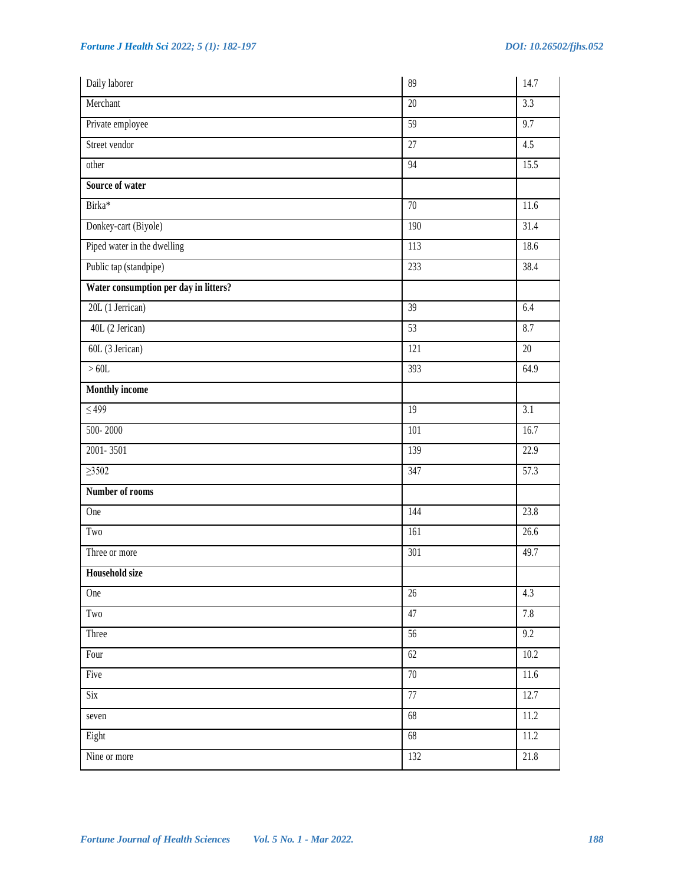| Daily laborer                         | 89              | 14.7             |
|---------------------------------------|-----------------|------------------|
| Merchant                              | 20              | 3.3              |
| Private employee                      | 59              | 9.7              |
| Street vendor                         | $\overline{27}$ | 4.5              |
| other                                 | 94              | 15.5             |
| Source of water                       |                 |                  |
| Birka*                                | $\overline{70}$ | 11.6             |
| Donkey-cart (Biyole)                  | 190             | 31.4             |
| Piped water in the dwelling           | 113             | 18.6             |
| Public tap (standpipe)                | 233             | 38.4             |
| Water consumption per day in litters? |                 |                  |
| 20L (1 Jerrican)                      | $\overline{39}$ | 6.4              |
| 40L (2 Jerican)                       | 53              | 8.7              |
| 60L (3 Jerican)                       | 121             | 20               |
| >60L                                  | 393             | 64.9             |
| <b>Monthly income</b>                 |                 |                  |
| $\leq 499$                            | $\overline{19}$ | $\overline{3.1}$ |
| 500-2000                              | 101             | 16.7             |
| 2001-3501                             | 139             | 22.9             |
| $\geq 3502$                           | 347             | 57.3             |
| Number of rooms                       |                 |                  |
| One                                   | 144             | 23.8             |
| Two                                   | 161             | 26.6             |
| Three or more                         | 301             | 49.7             |
| <b>Household size</b>                 |                 |                  |
| One                                   | $26\,$          | 4.3              |
| $\operatorname{Two}$                  | 47              | 7.8              |
| Three                                 | $\overline{56}$ | 9.2              |
| Four                                  | 62              | 10.2             |
| Five                                  | 70              | 11.6             |
| Six                                   | 77              | 12.7             |
| seven                                 | 68              | 11.2             |
| Eight                                 | 68              | 11.2             |
| Nine or more                          | 132             | 21.8             |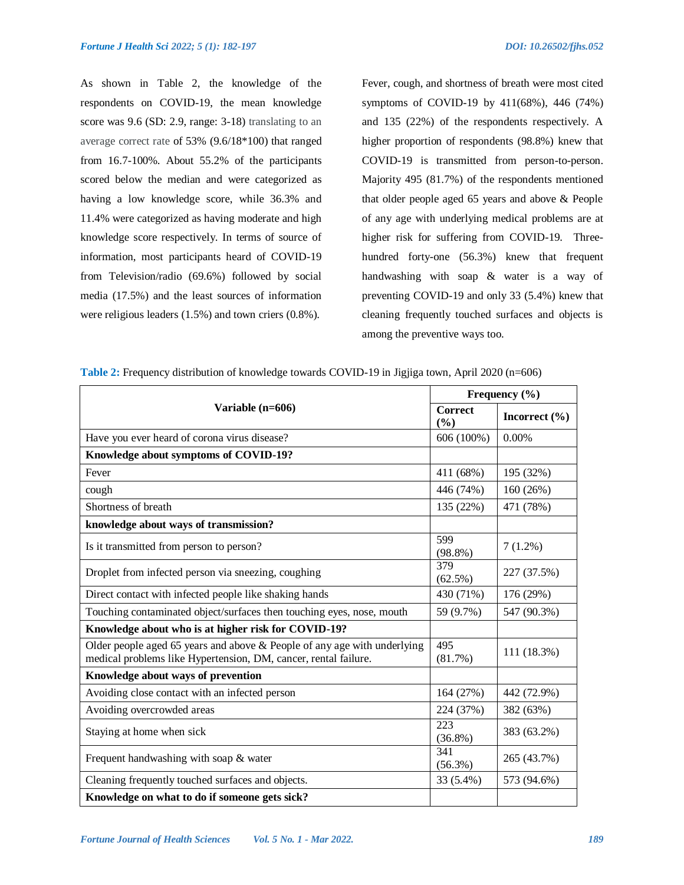As shown in Table 2, the knowledge of the respondents on COVID-19, the mean knowledge score was 9.6 (SD: 2.9, range: 3-18) translating to an average correct rate of 53% (9.6/18\*100) that ranged from 16.7-100%. About 55.2% of the participants scored below the median and were categorized as having a low knowledge score, while 36.3% and 11.4% were categorized as having moderate and high knowledge score respectively. In terms of source of information, most participants heard of COVID-19 from Television/radio (69.6%) followed by social media (17.5%) and the least sources of information were religious leaders (1.5%) and town criers (0.8%).

Fever, cough, and shortness of breath were most cited symptoms of COVID-19 by 411(68%), 446 (74%) and 135 (22%) of the respondents respectively. A higher proportion of respondents (98.8%) knew that COVID-19 is transmitted from person-to-person. Majority 495 (81.7%) of the respondents mentioned that older people aged 65 years and above & People of any age with underlying medical problems are at higher risk for suffering from COVID-19. Threehundred forty-one (56.3%) knew that frequent handwashing with soap & water is a way of preventing COVID-19 and only 33 (5.4%) knew that cleaning frequently touched surfaces and objects is among the preventive ways too.

|                                                                                                                                                | Frequency (%)         |                   |  |
|------------------------------------------------------------------------------------------------------------------------------------------------|-----------------------|-------------------|--|
| Variable (n=606)                                                                                                                               | <b>Correct</b><br>(%) | Incorrect $(\% )$ |  |
| Have you ever heard of corona virus disease?                                                                                                   | 606 (100%)            | 0.00%             |  |
| Knowledge about symptoms of COVID-19?                                                                                                          |                       |                   |  |
| Fever                                                                                                                                          | 411 (68%)             | 195 (32%)         |  |
| cough                                                                                                                                          | 446 (74%)             | 160 (26%)         |  |
| Shortness of breath                                                                                                                            | 135 (22%)             | 471 (78%)         |  |
| knowledge about ways of transmission?                                                                                                          |                       |                   |  |
| Is it transmitted from person to person?                                                                                                       | 599<br>$(98.8\%)$     | $7(1.2\%)$        |  |
| Droplet from infected person via sneezing, coughing                                                                                            | 379<br>(62.5%)        | 227 (37.5%)       |  |
| Direct contact with infected people like shaking hands                                                                                         | 430 (71%)             | 176 (29%)         |  |
| Touching contaminated object/surfaces then touching eyes, nose, mouth                                                                          | 59 (9.7%)             | 547 (90.3%)       |  |
| Knowledge about who is at higher risk for COVID-19?                                                                                            |                       |                   |  |
| Older people aged 65 years and above $\&$ People of any age with underlying<br>medical problems like Hypertension, DM, cancer, rental failure. | 495<br>(81.7%)        | 111 (18.3%)       |  |
| Knowledge about ways of prevention                                                                                                             |                       |                   |  |
| Avoiding close contact with an infected person                                                                                                 | 164 (27%)             | 442 (72.9%)       |  |
| Avoiding overcrowded areas                                                                                                                     | 224 (37%)             | 382 (63%)         |  |
| Staying at home when sick                                                                                                                      | 223<br>$(36.8\%)$     | 383 (63.2%)       |  |
| Frequent handwashing with soap & water                                                                                                         | 341<br>$(56.3\%)$     | 265 (43.7%)       |  |
| Cleaning frequently touched surfaces and objects.                                                                                              | 33 (5.4%)             | 573 (94.6%)       |  |
| Knowledge on what to do if someone gets sick?                                                                                                  |                       |                   |  |

**Table 2:** Frequency distribution of knowledge towards COVID-19 in Jigjiga town, April 2020 (n=606)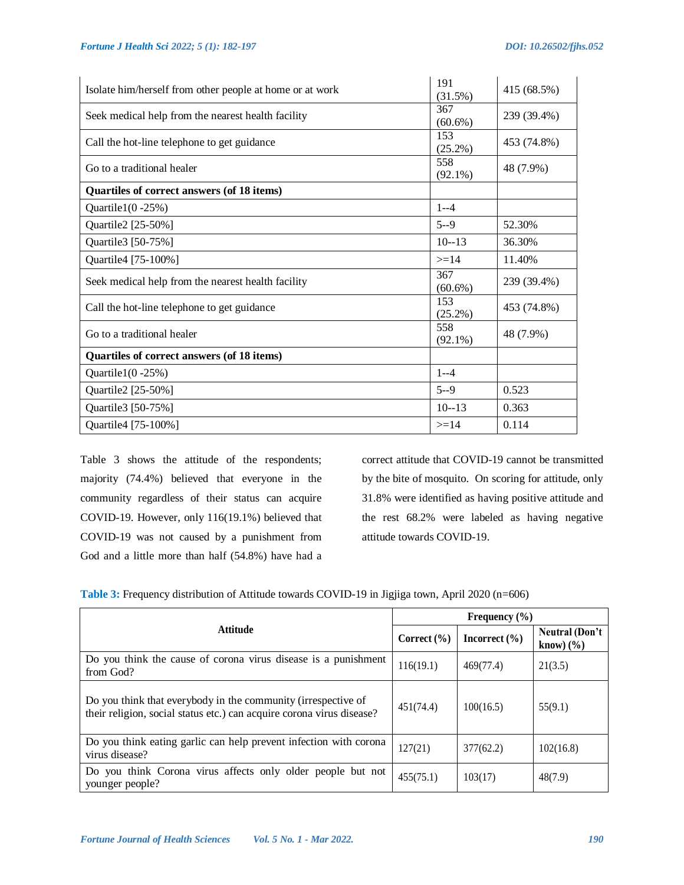| Isolate him/herself from other people at home or at work | 191<br>(31.5%)    | 415 (68.5%) |
|----------------------------------------------------------|-------------------|-------------|
| Seek medical help from the nearest health facility       | 367<br>$(60.6\%)$ | 239 (39.4%) |
| Call the hot-line telephone to get guidance              | 153<br>(25.2%)    | 453 (74.8%) |
| Go to a traditional healer                               | 558<br>$(92.1\%)$ | 48 (7.9%)   |
| Quartiles of correct answers (of 18 items)               |                   |             |
| Quartile $1(0 - 25\%)$                                   | $1 - -4$          |             |
| Quartile2 [25-50%]                                       | $5 - 9$           | 52.30%      |
| Quartile3 [50-75%]                                       | $10 - 13$         | 36.30%      |
| Quartile4 [75-100%]                                      | $>=14$            | 11.40%      |
| Seek medical help from the nearest health facility       | 367<br>$(60.6\%)$ | 239 (39.4%) |
| Call the hot-line telephone to get guidance              | 153<br>$(25.2\%)$ | 453 (74.8%) |
| Go to a traditional healer                               | 558<br>$(92.1\%)$ | 48 (7.9%)   |
| Quartiles of correct answers (of 18 items)               |                   |             |
| Quartile $1(0 - 25\%)$                                   | $1 - -4$          |             |
| Quartile2 [25-50%]                                       | $5 - 9$           | 0.523       |
| Quartile3 [50-75%]                                       | $10 - 13$         | 0.363       |
| Quartile4 [75-100%]                                      | $>=14$            | 0.114       |

Table 3 shows the attitude of the respondents; majority (74.4%) believed that everyone in the community regardless of their status can acquire COVID-19. However, only 116(19.1%) believed that COVID-19 was not caused by a punishment from God and a little more than half (54.8%) have had a

correct attitude that COVID-19 cannot be transmitted by the bite of mosquito. On scoring for attitude, only 31.8% were identified as having positive attitude and the rest 68.2% were labeled as having negative attitude towards COVID-19.

|  | Table 3: Frequency distribution of Attitude towards COVID-19 in Jigjiga town, April 2020 (n=606) |  |
|--|--------------------------------------------------------------------------------------------------|--|
|  |                                                                                                  |  |
|  |                                                                                                  |  |

|                                                                                                                                        | Frequency $(\% )$ |                   |                                                              |  |
|----------------------------------------------------------------------------------------------------------------------------------------|-------------------|-------------------|--------------------------------------------------------------|--|
| <b>Attitude</b>                                                                                                                        | Correct $(\% )$   | Incorrect $(\% )$ | Neutral (Don't<br>$\text{know}$ ) $\left(\frac{9}{6}\right)$ |  |
| Do you think the cause of corona virus disease is a punishment<br>from God?                                                            | 116(19.1)         | 469(77.4)         | 21(3.5)                                                      |  |
| Do you think that everybody in the community (irrespective of<br>their religion, social status etc.) can acquire corona virus disease? | 451(74.4)         | 100(16.5)         | 55(9.1)                                                      |  |
| Do you think eating garlic can help prevent infection with corona<br>virus disease?                                                    | 127(21)           | 377(62.2)         | 102(16.8)                                                    |  |
| Do you think Corona virus affects only older people but not<br>younger people?                                                         | 455(75.1)         | 103(17)           | 48(7.9)                                                      |  |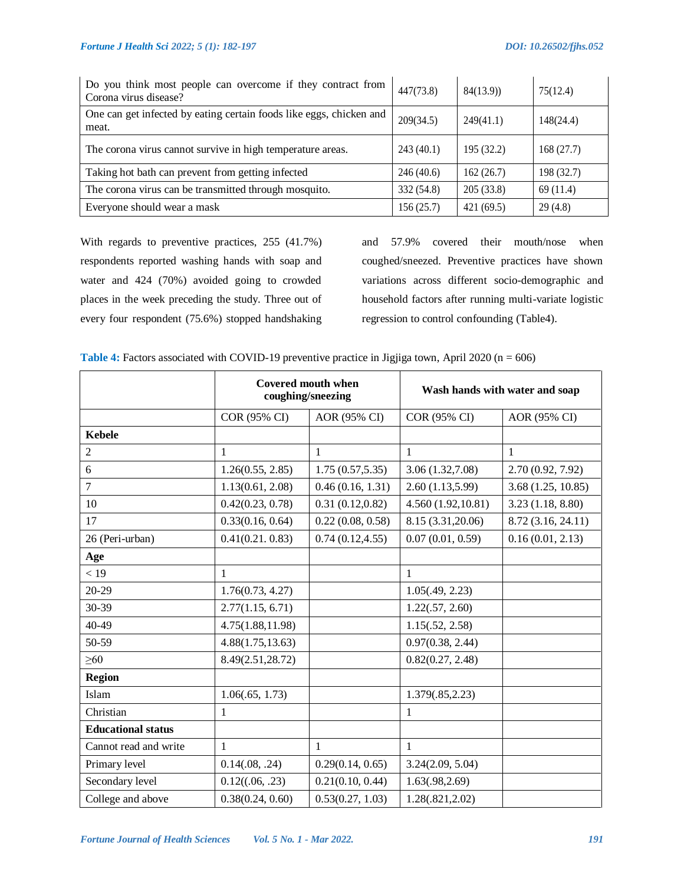| Do you think most people can overcome if they contract from<br>Corona virus disease? | 447(73.8)  | 84(13.9)   | 75(12.4)   |
|--------------------------------------------------------------------------------------|------------|------------|------------|
| One can get infected by eating certain foods like eggs, chicken and<br>meat.         | 209(34.5)  | 249(41.1)  | 148(24.4)  |
| The corona virus cannot survive in high temperature areas.                           | 243(40.1)  | 195 (32.2) | 168(27.7)  |
| Taking hot bath can prevent from getting infected                                    | 246(40.6)  | 162(26.7)  | 198 (32.7) |
| The corona virus can be transmitted through mosquito.                                | 332 (54.8) | 205(33.8)  | 69(11.4)   |
| Everyone should wear a mask                                                          | 156(25.7)  | 421(69.5)  | 29(4.8)    |

With regards to preventive practices, 255 (41.7%) respondents reported washing hands with soap and water and 424 (70%) avoided going to crowded places in the week preceding the study. Three out of every four respondent (75.6%) stopped handshaking

and 57.9% covered their mouth/nose when coughed/sneezed. Preventive practices have shown variations across different socio-demographic and household factors after running multi-variate logistic regression to control confounding (Table4).

| Table 4: Factors associated with COVID-19 preventive practice in Jigjiga town, April 2020 ( $n = 606$ ) |  |  |  |  |
|---------------------------------------------------------------------------------------------------------|--|--|--|--|
|---------------------------------------------------------------------------------------------------------|--|--|--|--|

|                           | <b>Covered mouth when</b><br>coughing/sneezing |                  | Wash hands with water and soap |                    |
|---------------------------|------------------------------------------------|------------------|--------------------------------|--------------------|
|                           | COR (95% CI)                                   | AOR (95% CI)     | COR (95% CI)                   | AOR (95% CI)       |
| <b>Kebele</b>             |                                                |                  |                                |                    |
| $\overline{2}$            | 1                                              | $\mathbf{1}$     | $\mathbf{1}$                   | $\mathbf{1}$       |
| 6                         | 1.26(0.55, 2.85)                               | 1.75(0.57, 5.35) | 3.06 (1.32,7.08)               | 2.70 (0.92, 7.92)  |
| $\overline{7}$            | 1.13(0.61, 2.08)                               | 0.46(0.16, 1.31) | 2.60(1.13,5.99)                | 3.68(1.25, 10.85)  |
| 10                        | 0.42(0.23, 0.78)                               | 0.31(0.12, 0.82) | 4.560(1.92,10.81)              | 3.23(1.18, 8.80)   |
| 17                        | 0.33(0.16, 0.64)                               | 0.22(0.08, 0.58) | 8.15 (3.31,20.06)              | 8.72 (3.16, 24.11) |
| 26 (Peri-urban)           | 0.41(0.21.0.83)                                | 0.74(0.12, 4.55) | 0.07(0.01, 0.59)               | 0.16(0.01, 2.13)   |
| Age                       |                                                |                  |                                |                    |
| < 19                      | $\mathbf{1}$                                   |                  | $\mathbf{1}$                   |                    |
| $20 - 29$                 | 1.76(0.73, 4.27)                               |                  | 1.05(.49, 2.23)                |                    |
| 30-39                     | 2.77(1.15, 6.71)                               |                  | 1.22(.57, 2.60)                |                    |
| 40-49                     | 4.75(1.88, 11.98)                              |                  | 1.15(.52, 2.58)                |                    |
| 50-59                     | 4.88(1.75, 13.63)                              |                  | 0.97(0.38, 2.44)               |                    |
| $\geq 60$                 | 8.49(2.51,28.72)                               |                  | 0.82(0.27, 2.48)               |                    |
| <b>Region</b>             |                                                |                  |                                |                    |
| Islam                     | 1.06(.65, 1.73)                                |                  | 1.379(.85,2.23)                |                    |
| Christian                 | 1                                              |                  | 1                              |                    |
| <b>Educational status</b> |                                                |                  |                                |                    |
| Cannot read and write     | 1                                              | 1                | 1                              |                    |
| Primary level             | 0.14(.08, .24)                                 | 0.29(0.14, 0.65) | 3.24(2.09, 5.04)               |                    |
| Secondary level           | 0.12((.06, .23))                               | 0.21(0.10, 0.44) | 1.63(.98, 2.69)                |                    |
| College and above         | 0.38(0.24, 0.60)                               | 0.53(0.27, 1.03) | 1.28(.821, 2.02)               |                    |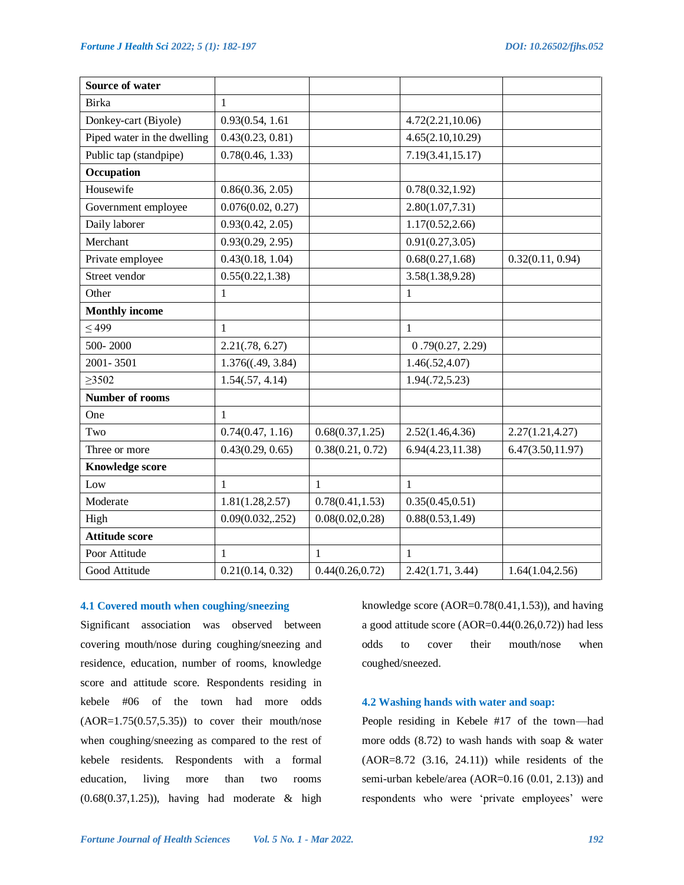| Source of water             |                   |                  |                   |                   |
|-----------------------------|-------------------|------------------|-------------------|-------------------|
| Birka                       | 1                 |                  |                   |                   |
| Donkey-cart (Biyole)        | 0.93(0.54, 1.61)  |                  | 4.72(2.21, 10.06) |                   |
| Piped water in the dwelling | 0.43(0.23, 0.81)  |                  | 4.65(2.10, 10.29) |                   |
| Public tap (standpipe)      | 0.78(0.46, 1.33)  |                  | 7.19(3.41,15.17)  |                   |
| Occupation                  |                   |                  |                   |                   |
| Housewife                   | 0.86(0.36, 2.05)  |                  | 0.78(0.32, 1.92)  |                   |
| Government employee         | 0.076(0.02, 0.27) |                  | 2.80(1.07, 7.31)  |                   |
| Daily laborer               | 0.93(0.42, 2.05)  |                  | 1.17(0.52, 2.66)  |                   |
| Merchant                    | 0.93(0.29, 2.95)  |                  | 0.91(0.27, 3.05)  |                   |
| Private employee            | 0.43(0.18, 1.04)  |                  | 0.68(0.27, 1.68)  | 0.32(0.11, 0.94)  |
| Street vendor               | 0.55(0.22, 1.38)  |                  | 3.58(1.38, 9.28)  |                   |
| Other                       | $\mathbf{1}$      |                  | $\mathbf{1}$      |                   |
| <b>Monthly income</b>       |                   |                  |                   |                   |
| $\leq 499$                  | 1                 |                  | 1                 |                   |
| 500-2000                    | 2.21(.78, 6.27)   |                  | 0.79(0.27, 2.29)  |                   |
| 2001-3501                   | 1.376((.49, 3.84) |                  | 1.46(.52, 4.07)   |                   |
| $\geq 3502$                 | 1.54(.57, 4.14)   |                  | 1.94(.72, 5.23)   |                   |
| <b>Number of rooms</b>      |                   |                  |                   |                   |
| One                         | 1                 |                  |                   |                   |
| Two                         | 0.74(0.47, 1.16)  | 0.68(0.37, 1.25) | 2.52(1.46, 4.36)  | 2.27(1.21, 4.27)  |
| Three or more               | 0.43(0.29, 0.65)  | 0.38(0.21, 0.72) | 6.94(4.23, 11.38) | 6.47(3.50, 11.97) |
| <b>Knowledge score</b>      |                   |                  |                   |                   |
| Low                         | 1                 | 1                | 1                 |                   |
| Moderate                    | 1.81(1.28, 2.57)  | 0.78(0.41, 1.53) | 0.35(0.45, 0.51)  |                   |
| High                        | 0.09(0.032, 252)  | 0.08(0.02, 0.28) | 0.88(0.53, 1.49)  |                   |
| <b>Attitude score</b>       |                   |                  |                   |                   |
| Poor Attitude               | 1                 | $\mathbf{1}$     | $\mathbf{1}$      |                   |
| Good Attitude               | 0.21(0.14, 0.32)  | 0.44(0.26, 0.72) | 2.42(1.71, 3.44)  | 1.64(1.04, 2.56)  |

## **4.1 Covered mouth when coughing/sneezing**

Significant association was observed between covering mouth/nose during coughing/sneezing and residence, education, number of rooms, knowledge score and attitude score. Respondents residing in kebele #06 of the town had more odds  $(AOR=1.75(0.57,5.35))$  to cover their mouth/nose when coughing/sneezing as compared to the rest of kebele residents. Respondents with a formal education, living more than two rooms (0.68(0.37,1.25)), having had moderate & high

knowledge score (AOR=0.78(0.41,1.53)), and having a good attitude score (AOR=0.44(0.26,0.72)) had less odds to cover their mouth/nose when coughed/sneezed.

## **4.2 Washing hands with water and soap:**

People residing in Kebele #17 of the town—had more odds (8.72) to wash hands with soap & water (AOR=8.72 (3.16, 24.11)) while residents of the semi-urban kebele/area (AOR=0.16 (0.01, 2.13)) and respondents who were 'private employees' were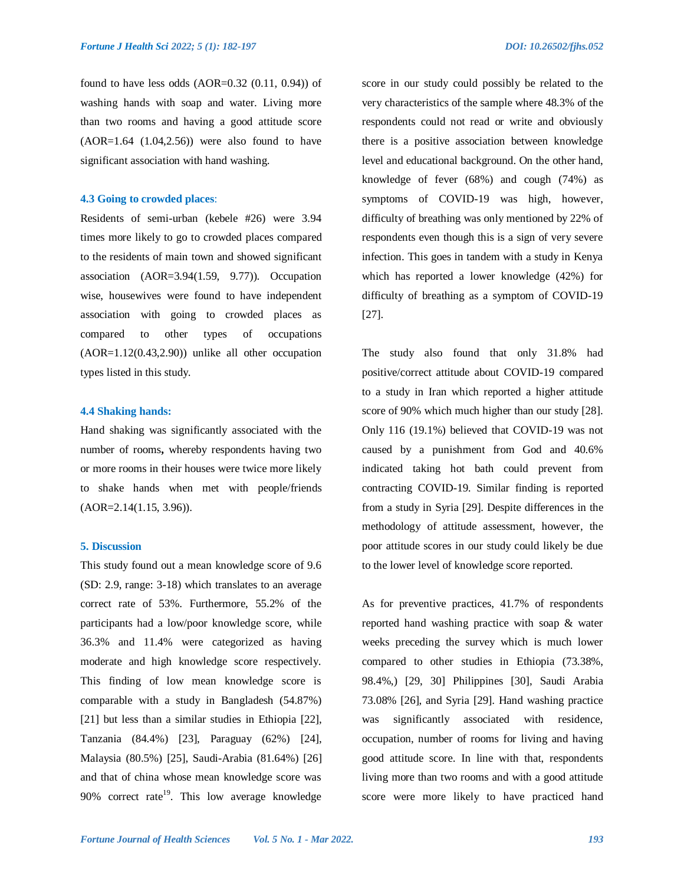found to have less odds  $(AOR=0.32 (0.11, 0.94))$  of washing hands with soap and water. Living more than two rooms and having a good attitude score  $(AOR=1.64 (1.04, 2.56))$  were also found to have significant association with hand washing.

## **4.3 Going to crowded places**:

Residents of semi-urban (kebele #26) were 3.94 times more likely to go to crowded places compared to the residents of main town and showed significant association (AOR=3.94(1.59, 9.77)). Occupation wise, housewives were found to have independent association with going to crowded places as compared to other types of occupations  $(AOR=1.12(0.43, 2.90))$  unlike all other occupation types listed in this study.

#### **4.4 Shaking hands:**

Hand shaking was significantly associated with the number of rooms**,** whereby respondents having two or more rooms in their houses were twice more likely to shake hands when met with people/friends (AOR=2.14(1.15, 3.96)).

## **5. Discussion**

This study found out a mean knowledge score of 9.6 (SD: 2.9, range: 3-18) which translates to an average correct rate of 53%. Furthermore, 55.2% of the participants had a low/poor knowledge score, while 36.3% and 11.4% were categorized as having moderate and high knowledge score respectively. This finding of low mean knowledge score is comparable with a study in Bangladesh (54.87%) [21] but less than a similar studies in Ethiopia [22], Tanzania (84.4%) [23], Paraguay (62%) [24], Malaysia (80.5%) [25], Saudi-Arabia (81.64%) [26] and that of china whose mean knowledge score was 90% correct rate<sup>19</sup>. This low average knowledge

score in our study could possibly be related to the very characteristics of the sample where 48.3% of the respondents could not read or write and obviously there is a positive association between knowledge level and educational background. On the other hand, knowledge of fever (68%) and cough (74%) as symptoms of COVID-19 was high, however, difficulty of breathing was only mentioned by 22% of respondents even though this is a sign of very severe infection. This goes in tandem with a study in Kenya which has reported a lower knowledge (42%) for difficulty of breathing as a symptom of COVID-19 [27].

The study also found that only 31.8% had positive/correct attitude about COVID-19 compared to a study in Iran which reported a higher attitude score of 90% which much higher than our study [28]. Only 116 (19.1%) believed that COVID-19 was not caused by a punishment from God and 40.6% indicated taking hot bath could prevent from contracting COVID-19. Similar finding is reported from a study in Syria [29]. Despite differences in the methodology of attitude assessment, however, the poor attitude scores in our study could likely be due to the lower level of knowledge score reported.

As for preventive practices, 41.7% of respondents reported hand washing practice with soap & water weeks preceding the survey which is much lower compared to other studies in Ethiopia (73.38%, 98.4%,) [29, 30] Philippines [30], Saudi Arabia 73.08% [26], and Syria [29]. Hand washing practice was significantly associated with residence, occupation, number of rooms for living and having good attitude score. In line with that, respondents living more than two rooms and with a good attitude score were more likely to have practiced hand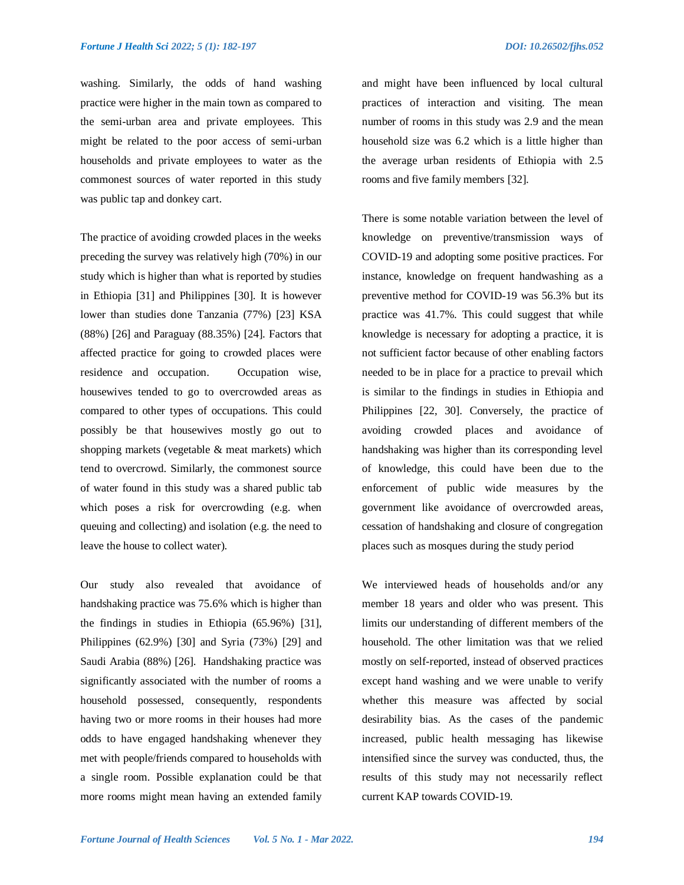washing. Similarly, the odds of hand washing practice were higher in the main town as compared to the semi-urban area and private employees. This might be related to the poor access of semi-urban households and private employees to water as the commonest sources of water reported in this study was public tap and donkey cart.

The practice of avoiding crowded places in the weeks preceding the survey was relatively high (70%) in our study which is higher than what is reported by studies in Ethiopia [31] and Philippines [30]. It is however lower than studies done Tanzania (77%) [23] KSA (88%) [26] and Paraguay (88.35%) [24]. Factors that affected practice for going to crowded places were residence and occupation. Occupation wise, housewives tended to go to overcrowded areas as compared to other types of occupations. This could possibly be that housewives mostly go out to shopping markets (vegetable & meat markets) which tend to overcrowd. Similarly, the commonest source of water found in this study was a shared public tab which poses a risk for overcrowding (e.g. when queuing and collecting) and isolation (e.g. the need to leave the house to collect water).

Our study also revealed that avoidance of handshaking practice was 75.6% which is higher than the findings in studies in Ethiopia (65.96%) [31], Philippines (62.9%) [30] and Syria (73%) [29] and Saudi Arabia (88%) [26]. Handshaking practice was significantly associated with the number of rooms a household possessed, consequently, respondents having two or more rooms in their houses had more odds to have engaged handshaking whenever they met with people/friends compared to households with a single room. Possible explanation could be that more rooms might mean having an extended family

and might have been influenced by local cultural practices of interaction and visiting. The mean number of rooms in this study was 2.9 and the mean household size was 6.2 which is a little higher than the average urban residents of Ethiopia with 2.5 rooms and five family members [32].

There is some notable variation between the level of knowledge on preventive/transmission ways of COVID-19 and adopting some positive practices. For instance, knowledge on frequent handwashing as a preventive method for COVID-19 was 56.3% but its practice was 41.7%. This could suggest that while knowledge is necessary for adopting a practice, it is not sufficient factor because of other enabling factors needed to be in place for a practice to prevail which is similar to the findings in studies in Ethiopia and Philippines [22, 30]. Conversely, the practice of avoiding crowded places and avoidance of handshaking was higher than its corresponding level of knowledge, this could have been due to the enforcement of public wide measures by the government like avoidance of overcrowded areas, cessation of handshaking and closure of congregation places such as mosques during the study period

We interviewed heads of households and/or any member 18 years and older who was present. This limits our understanding of different members of the household. The other limitation was that we relied mostly on self-reported, instead of observed practices except hand washing and we were unable to verify whether this measure was affected by social desirability bias. As the cases of the pandemic increased, public health messaging has likewise intensified since the survey was conducted, thus, the results of this study may not necessarily reflect current KAP towards COVID-19.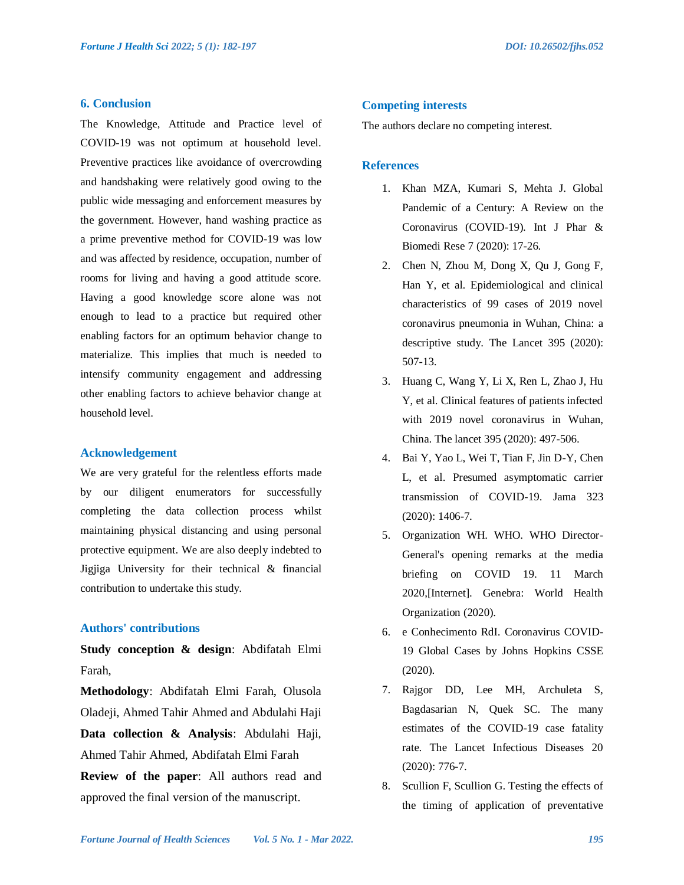## **6. Conclusion**

The Knowledge, Attitude and Practice level of COVID-19 was not optimum at household level. Preventive practices like avoidance of overcrowding and handshaking were relatively good owing to the public wide messaging and enforcement measures by the government. However, hand washing practice as a prime preventive method for COVID-19 was low and was affected by residence, occupation, number of rooms for living and having a good attitude score. Having a good knowledge score alone was not enough to lead to a practice but required other enabling factors for an optimum behavior change to materialize. This implies that much is needed to intensify community engagement and addressing other enabling factors to achieve behavior change at household level.

#### **Acknowledgement**

We are very grateful for the relentless efforts made by our diligent enumerators for successfully completing the data collection process whilst maintaining physical distancing and using personal protective equipment. We are also deeply indebted to Jigjiga University for their technical & financial contribution to undertake this study.

## **Authors' contributions**

**Study conception & design**: Abdifatah Elmi Farah,

**Methodology**: Abdifatah Elmi Farah, Olusola Oladeji, Ahmed Tahir Ahmed and Abdulahi Haji **Data collection & Analysis**: Abdulahi Haji, Ahmed Tahir Ahmed, Abdifatah Elmi Farah **Review of the paper**: All authors read and approved the final version of the manuscript.

#### **Competing interests**

The authors declare no competing interest.

## **References**

- 1. Khan MZA, Kumari S, Mehta J. Global Pandemic of a Century: A Review on the Coronavirus (COVID-19). Int J Phar & Biomedi Rese 7 (2020): 17-26.
- 2. Chen N, Zhou M, Dong X, Qu J, Gong F, Han Y, et al. Epidemiological and clinical characteristics of 99 cases of 2019 novel coronavirus pneumonia in Wuhan, China: a descriptive study. The Lancet 395 (2020): 507-13.
- 3. Huang C, Wang Y, Li X, Ren L, Zhao J, Hu Y, et al. Clinical features of patients infected with 2019 novel coronavirus in Wuhan, China. The lancet 395 (2020): 497-506.
- 4. Bai Y, Yao L, Wei T, Tian F, Jin D-Y, Chen L, et al. Presumed asymptomatic carrier transmission of COVID-19. Jama 323 (2020): 1406-7.
- 5. Organization WH. WHO. WHO Director-General's opening remarks at the media briefing on COVID 19. 11 March 2020,[Internet]. Genebra: World Health Organization (2020).
- 6. e Conhecimento RdI. Coronavirus COVID-19 Global Cases by Johns Hopkins CSSE (2020).
- 7. Rajgor DD, Lee MH, Archuleta S, Bagdasarian N, Quek SC. The many estimates of the COVID-19 case fatality rate. The Lancet Infectious Diseases 20 (2020): 776-7.
- 8. Scullion F, Scullion G. Testing the effects of the timing of application of preventative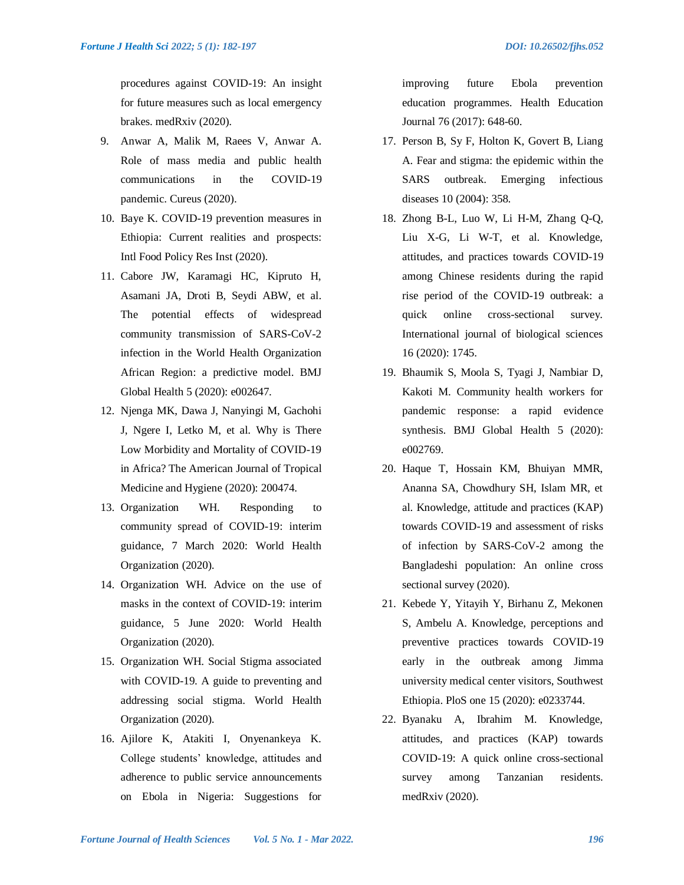procedures against COVID-19: An insight for future measures such as local emergency brakes. medRxiv (2020).

- 9. Anwar A, Malik M, Raees V, Anwar A. Role of mass media and public health communications in the COVID-19 pandemic. Cureus (2020).
- 10. Baye K. COVID-19 prevention measures in Ethiopia: Current realities and prospects: Intl Food Policy Res Inst (2020).
- 11. Cabore JW, Karamagi HC, Kipruto H, Asamani JA, Droti B, Seydi ABW, et al. The potential effects of widespread community transmission of SARS-CoV-2 infection in the World Health Organization African Region: a predictive model. BMJ Global Health 5 (2020): e002647.
- 12. Njenga MK, Dawa J, Nanyingi M, Gachohi J, Ngere I, Letko M, et al. Why is There Low Morbidity and Mortality of COVID-19 in Africa? The American Journal of Tropical Medicine and Hygiene (2020): 200474.
- 13. Organization WH. Responding to community spread of COVID-19: interim guidance, 7 March 2020: World Health Organization (2020).
- 14. Organization WH. Advice on the use of masks in the context of COVID-19: interim guidance, 5 June 2020: World Health Organization (2020).
- 15. Organization WH. Social Stigma associated with COVID-19. A guide to preventing and addressing social stigma. World Health Organization (2020).
- 16. Ajilore K, Atakiti I, Onyenankeya K. College students' knowledge, attitudes and adherence to public service announcements on Ebola in Nigeria: Suggestions for

improving future Ebola prevention education programmes. Health Education Journal 76 (2017): 648-60.

- 17. Person B, Sy F, Holton K, Govert B, Liang A. Fear and stigma: the epidemic within the SARS outbreak. Emerging infectious diseases 10 (2004): 358.
- 18. Zhong B-L, Luo W, Li H-M, Zhang Q-Q, Liu X-G, Li W-T, et al. Knowledge, attitudes, and practices towards COVID-19 among Chinese residents during the rapid rise period of the COVID-19 outbreak: a quick online cross-sectional survey. International journal of biological sciences 16 (2020): 1745.
- 19. Bhaumik S, Moola S, Tyagi J, Nambiar D, Kakoti M. Community health workers for pandemic response: a rapid evidence synthesis. BMJ Global Health 5 (2020): e002769.
- 20. Haque T, Hossain KM, Bhuiyan MMR, Ananna SA, Chowdhury SH, Islam MR, et al. Knowledge, attitude and practices (KAP) towards COVID-19 and assessment of risks of infection by SARS-CoV-2 among the Bangladeshi population: An online cross sectional survey (2020).
- 21. Kebede Y, Yitayih Y, Birhanu Z, Mekonen S, Ambelu A. Knowledge, perceptions and preventive practices towards COVID-19 early in the outbreak among Jimma university medical center visitors, Southwest Ethiopia. PloS one 15 (2020): e0233744.
- 22. Byanaku A, Ibrahim M. Knowledge, attitudes, and practices (KAP) towards COVID-19: A quick online cross-sectional survey among Tanzanian residents. medRxiv (2020).